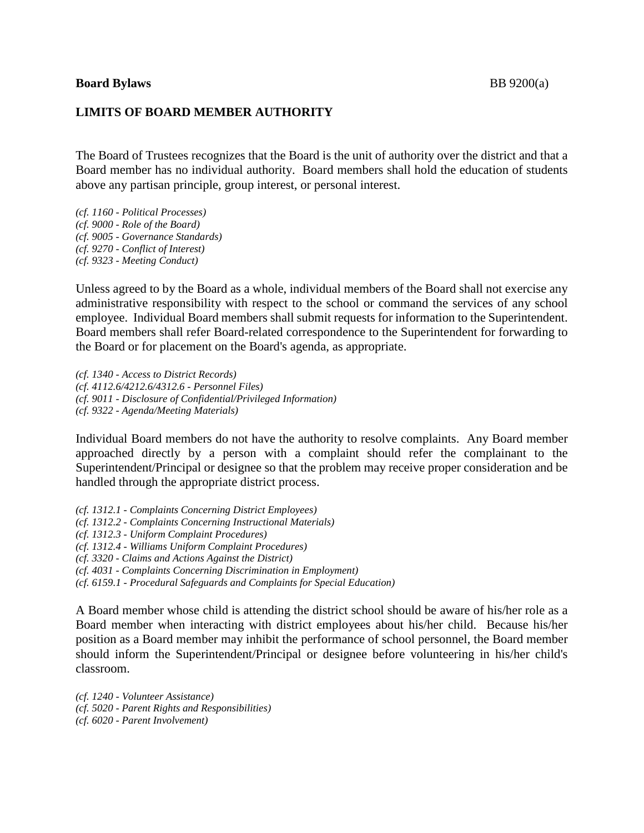## **Board Bylaws** BB 9200(a)

## **LIMITS OF BOARD MEMBER AUTHORITY**

The Board of Trustees recognizes that the Board is the unit of authority over the district and that a Board member has no individual authority. Board members shall hold the education of students above any partisan principle, group interest, or personal interest.

*(cf. 1160 - Political Processes) (cf. 9000 - Role of the Board) (cf. 9005 - Governance Standards) (cf. 9270 - Conflict of Interest) (cf. 9323 - Meeting Conduct)*

Unless agreed to by the Board as a whole, individual members of the Board shall not exercise any administrative responsibility with respect to the school or command the services of any school employee. Individual Board members shall submit requests for information to the Superintendent. Board members shall refer Board-related correspondence to the Superintendent for forwarding to the Board or for placement on the Board's agenda, as appropriate.

*(cf. 1340 - Access to District Records) (cf. 4112.6/4212.6/4312.6 - Personnel Files) (cf. 9011 - Disclosure of Confidential/Privileged Information) (cf. 9322 - Agenda/Meeting Materials)*

Individual Board members do not have the authority to resolve complaints. Any Board member approached directly by a person with a complaint should refer the complainant to the Superintendent/Principal or designee so that the problem may receive proper consideration and be handled through the appropriate district process.

*(cf. 1312.1 - Complaints Concerning District Employees) (cf. 1312.2 - Complaints Concerning Instructional Materials)*

*(cf. 1312.3 - Uniform Complaint Procedures)*

*(cf. 1312.4 - Williams Uniform Complaint Procedures)*

*(cf. 3320 - Claims and Actions Against the District)*

*(cf. 4031 - Complaints Concerning Discrimination in Employment)*

*(cf. 6159.1 - Procedural Safeguards and Complaints for Special Education)*

A Board member whose child is attending the district school should be aware of his/her role as a Board member when interacting with district employees about his/her child. Because his/her position as a Board member may inhibit the performance of school personnel, the Board member should inform the Superintendent/Principal or designee before volunteering in his/her child's classroom.

*(cf. 1240 - Volunteer Assistance) (cf. 5020 - Parent Rights and Responsibilities) (cf. 6020 - Parent Involvement)*